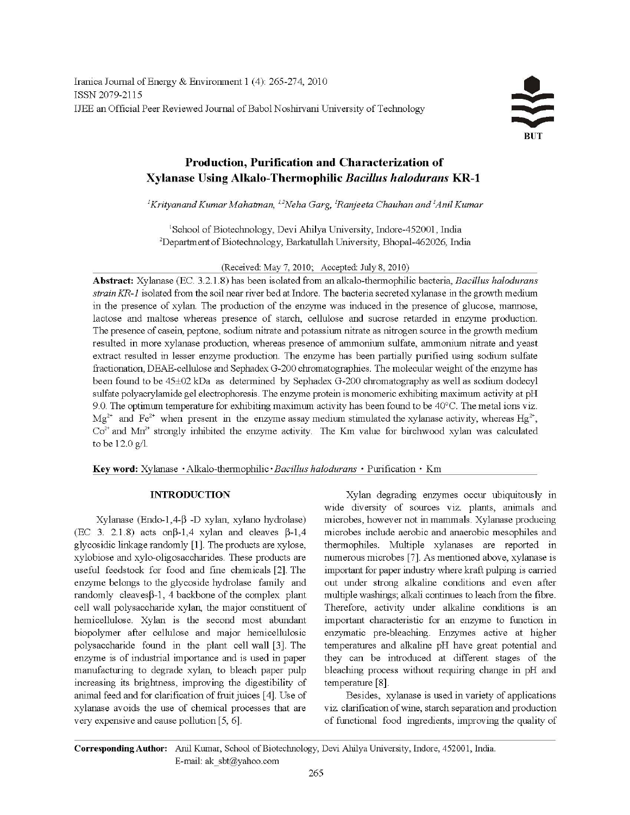# Production, Purification and Characterization of Xylanase Using Alkalo-Thermophilic Bacillus halodurans KR-1

<sup>1</sup>Krityanand Kumar Mahatman, <sup>1,2</sup>Neha Garg, <sup>1</sup>Ranjeeta Chauhan and <sup>1</sup>Anil Kumar

<sup>1</sup>School of Biotechnology, Devi Ahilya University, Indore-452001, India <sup>2</sup>Department of Biotechnology, Barkatullah University, Bhopal-462026, India

(Received: May 7, 2010; Accepted: July 8, 2010)

Abstract: Xylanase (EC. 3.2.1.8) has been isolated from an alkalo-thermophilic bacteria, Bacillus halodurans strain KR-1 isolated from the soil near river bed at Indore. The bacteria secreted xylanase in the growth medium in the presence of xylan. The production of the enzyme was induced in the presence of glucose, mannose, lactose and maltose whereas presence of starch, cellulose and sucrose retarded in enzyme production. The presence of casein, peptone, sodium nitrate and potassium nitrate as nitrogen source in the growth medium resulted in more xylanase production, whereas presence of ammonium sulfate, ammonium nitrate and yeast extract resulted in lesser enzyme production. The enzyme has been partially purified using sodium sulfate fractionation, DEAE-cellulose and Sephadex G-200 chromatographies. The molecular weight of the enzyme has been found to be 45±02 kDa as determined by Sephadex G-200 chromatography as well as sodium dodecyl sulfate polyacrylamide gel electrophoresis. The enzyme protein is monomeric exhibiting maximum activity at pH 9.0. The optimum temperature for exhibiting maximum activity has been found to be  $40^{\circ}$ C. The metal ions viz.  $Mg^{2+}$  and Fe<sup>2+</sup> when present in the enzyme assay medium stimulated the xylanase activity, whereas Hg<sup>2+</sup>,  $Co<sup>2+</sup>$  and Mn<sup>2+</sup> strongly inhibited the enzyme activity. The Km value for birchwood xylan was calculated to be 12.0 g/l.

Key word: Xylanase · Alkalo-thermophilic · Bacillus halodurans · Purification · Km

## **INTRODUCTION**

Xylanase (Endo-1,4-β -D xylan, xylano hydrolase) (EC 3. 2.1.8) acts on  $\beta$ -1,4 xylan and cleaves  $\beta$ -1,4 glycosidic linkage randomly [1]. The products are xylose, xylobiose and xylo-oligosaccharides. These products are useful feedstock for food and fine chemicals [2]. The enzyme belongs to the glycoside hydrolase family and randomly cleaves $\beta$ -1, 4 backbone of the complex plant cell wall polysaccharide xylan, the major constituent of hemicellulose. Xylan is the second most abundant biopolymer after cellulose and major hemicellulosic polysaccharide found in the plant cell wall [3]. The enzyme is of industrial importance and is used in paper manufacturing to degrade xylan, to bleach paper pulp increasing its brightness, improving the digestibility of animal feed and for clarification of fruit juices [4]. Use of xylanase avoids the use of chemical processes that are very expensive and cause pollution [5, 6].

Xylan degrading enzymes occur ubiquitously in wide diversity of sources viz. plants, animals and microbes, however not in mammals. Xylanase producing microbes include aerobic and anaerobic mesophiles and thermophiles. Multiple xylanases are reported in numerous microbes [7]. As mentioned above, xylanase is important for paper industry where kraft pulping is carried out under strong alkaline conditions and even after multiple washings; alkali continues to leach from the fibre. Therefore, activity under alkaline conditions is an important characteristic for an enzyme to function in enzymatic pre-bleaching. Enzymes active at higher temperatures and alkaline pH have great potential and they can be introduced at different stages of the bleaching process without requiring change in pH and temperature [8].

Besides, xylanase is used in variety of applications viz. clarification of wine, starch separation and production of functional food ingredients, improving the quality of

Corresponding Author: Anil Kumar, School of Biotechnology, Devi Ahilya University, Indore, 452001, India. E-mail: ak sbt@yahoo.com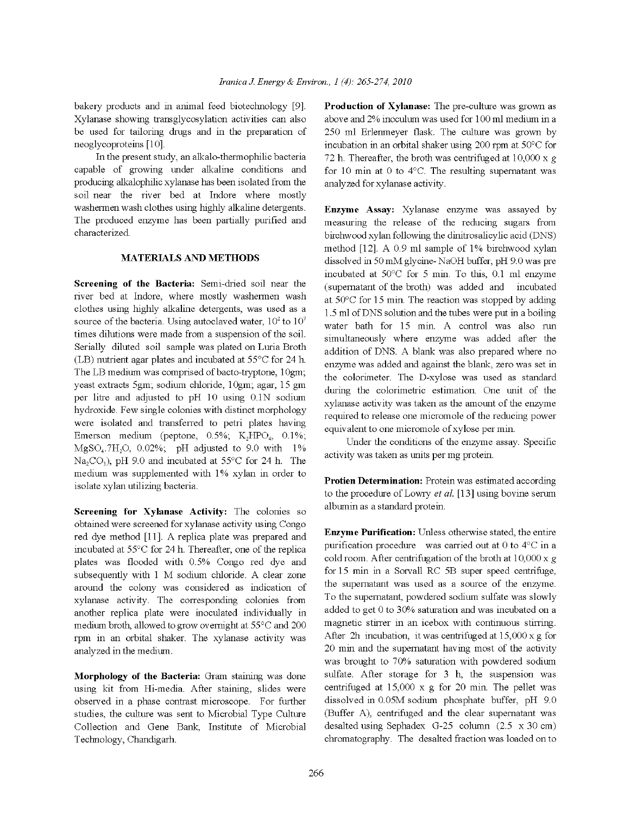bakery products and in animal feed biotechnology [9]. Xylanase showing transglycosylation activities can also be used for tailoring drugs and in the preparation of neoglycoproteins [10].

In the present study, an alkalo-thermophilic bacteria capable of growing under alkaline conditions and producing alkalophilic xylanase has been isolated from the soil near the river bed at Indore where mostly washermen wash clothes using highly alkaline detergents. The produced enzyme has been partially purified and characterized.

#### **MATERIALS AND METHODS**

Screening of the Bacteria: Semi-dried soil near the river bed at Indore, where mostly washermen wash clothes using highly alkaline detergents, was used as a source of the bacteria. Using autoclaved water,  $10^2$  to  $10^7$ times dilutions were made from a suspension of the soil. Serially diluted soil sample was plated on Luria Broth (LB) nutrient agar plates and incubated at 55°C for 24 h. The LB medium was comprised of bacto-tryptone, 10gm; yeast extracts 5gm; sodium chloride, 10gm; agar, 15 gm per litre and adjusted to pH 10 using 0.1N sodium hydroxide. Few single colonies with distinct morphology were isolated and transferred to petri plates having Emerson medium (peptone,  $0.5\%$ ;  $K_2HPO_4$ ,  $0.1\%$ ;  $MgSO<sub>4</sub>$ .7H<sub>2</sub>O, 0.02%; pH adjusted to 9.0 with 1%  $Na_2CO_3$ ), pH 9.0 and incubated at 55°C for 24 h. The medium was supplemented with 1% xylan in order to isolate xylan utilizing bacteria.

Screening for Xylanase Activity: The colonies so obtained were screened for xylanase activity using Congo red dye method [11]. A replica plate was prepared and incubated at 55°C for 24 h. Thereafter, one of the replica plates was flooded with 0.5% Congo red dye and subsequently with 1 M sodium chloride. A clear zone around the colony was considered as indication of xylanase activity. The corresponding colonies from another replica plate were inoculated individually in medium broth, allowed to grow overnight at 55°C and 200 rpm in an orbital shaker. The xylanase activity was analyzed in the medium.

Morphology of the Bacteria: Gram staining was done using kit from Hi-media. After staining, slides were observed in a phase contrast microscope. For further studies, the culture was sent to Microbial Type Culture Collection and Gene Bank, Institute of Microbial Technology, Chandigarh.

Production of Xylanase: The pre-culture was grown as above and 2% inoculum was used for 100 ml medium in a 250 ml Erlenmeyer flask. The culture was grown by incubation in an orbital shaker using 200 rpm at 50°C for 72 h. Thereafter, the broth was centrifuged at  $10,000 \times g$ for 10 min at 0 to  $4^{\circ}$ C. The resulting supernatant was analyzed for xylanase activity.

Enzyme Assay: Xylanase enzyme was assayed by measuring the release of the reducing sugars from birchwood xylan following the dinitrosalicylic acid (DNS) method [12]. A 0.9 ml sample of 1% birchwood xylan dissolved in 50 mM glycine-NaOH buffer, pH 9.0 was pre incubated at 50°C for 5 min. To this, 0.1 ml enzyme (supernatant of the broth) was added and incubated at  $50^{\circ}$ C for 15 min. The reaction was stopped by adding 1.5 ml of DNS solution and the tubes were put in a boiling water bath for 15 min. A control was also run simultaneously where enzyme was added after the addition of DNS. A blank was also prepared where no enzyme was added and against the blank, zero was set in the colorimeter. The D-xylose was used as standard during the colorimetric estimation. One unit of the xylanase activity was taken as the amount of the enzyme required to release one micromole of the reducing power equivalent to one micromole of xylose per min.

Under the conditions of the enzyme assay. Specific activity was taken as units per mg protein.

Protien Determination: Protein was estimated according to the procedure of Lowry  $et$  al. [13] using bovine serum albumin as a standard protein.

Enzyme Purification: Unless otherwise stated, the entire purification procedure was carried out at 0 to  $4^{\circ}$ C in a cold room. After centrifugation of the broth at  $10,000 \times g$ for 15 min in a Sorvall RC 5B super speed centrifuge, the supernatant was used as a source of the enzyme. To the supernatant, powdered sodium sulfate was slowly added to get 0 to 30% saturation and was incubated on a magnetic stirrer in an icebox with continuous stirring. After 2h incubation, it was centrifuged at  $15,000 \times g$  for 20 min and the supernatant having most of the activity was brought to 70% saturation with powdered sodium sulfate. After storage for 3 h, the suspension was centrifuged at  $15,000 \times g$  for 20 min. The pellet was dissolved in 0.05M sodium phosphate buffer, pH 9.0 (Buffer A), centrifuged and the clear supernatant was desalted using Sephadex G-25 column (2.5 x 30 cm) chromatography. The desalted fraction was loaded on to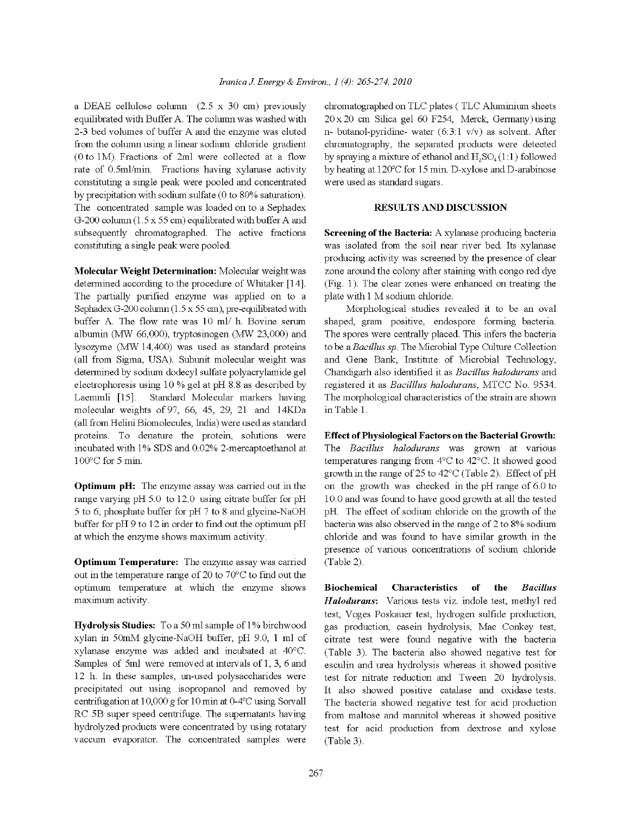a DEAE cellulose column  $(2.5 \times 30 \text{ cm})$  previously equilibrated with Buffer A. The column was washed with 2-3 bed volumes of buffer A and the enzyme was eluted from the column using a linear sodium chloride gradient  $(0 to 1M)$ . Fractions of 2ml were collected at a flow rate of 0.5ml/min. Fractions having xylanase activity constituting a single peak were pooled and concentrated by precipitation with sodium sulfate (0 to 80% saturation). The concentrated sample was loaded on to a Sephadex G-200 column  $(1.5 \times 55$  cm) equilibrated with buffer A and subsequently chromatographed. The active fractions constituting a single peak were pooled.

Molecular Weight Determination: Molecular weight was determined according to the procedure of Whitaker [14]. The partially purified enzyme was applied on to a Sephadex G-200 column  $(1.5 \times 55$  cm), pre-equilibrated with buffer A. The flow rate was 10 ml/ h. Bovine serum albumin (MW 66,000), tryptosinogen (MW 23,000) and lysozyme (MW 14,400) was used as standard proteins (all from Sigma, USA). Subunit molecular weight was determined by sodium dodecyl sulfate polyacrylamide gel electrophoresis using 10 % gel at pH 8.8 as described by Laemmli [15]. Standard Molecular markers having molecular weights of 97, 66, 45, 29, 21 and 14KDa (all from Helini Biomolecules, India) were used as standard proteins. To denature the protein, solutions were incubated with 1% SDS and 0.02% 2-mercaptoethanol at  $100^{\circ}$ C for 5 min.

Optimum pH: The enzyme assay was carried out in the range varying pH 5.0 to 12.0 using citrate buffer for pH 5 to 6, phosphate buffer for pH 7 to 8 and glycine-NaOH buffer for pH 9 to 12 in order to find out the optimum pH at which the enzyme shows maximum activity.

**Optimum Temperature:** The enzyme assay was carried out in the temperature range of 20 to  $70^{\circ}$ C to find out the optimum temperature at which the enzyme shows maximum activity.

Hydrolysis Studies: To a 50 ml sample of 1% birchwood xylan in 50mM glycine-NaOH buffer, pH 9.0, 1 ml of xylanase enzyme was added and incubated at 40°C. Samples of 5ml were removed at intervals of 1, 3, 6 and 12 h. In these samples, un-used polysaccharides were precipitated out using isopropanol and removed by centrifugation at 10,000 g for 10 min at 0-4 $\degree$ C using Sorvall RC 5B super speed centrifuge. The supernatants having hydrolyzed products were concentrated by using rotatary vaccum evaporator. The concentrated samples were

chromatographed on TLC plates (TLC Aluminium sheets 20 x 20 cm Silica gel 60 F254, Merck, Germany) using n- butanol-pyridine- water  $(6.3.1 \text{ v/v})$  as solvent. After chromatography, the separated products were detected by spraying a mixture of ethanol and  $H_2SO_4(1:1)$  followed by heating at 120°C for 15 min. D-xylose and D-arabinose were used as standard sugars.

### **RESULTS AND DISCUSSION**

Screening of the Bacteria: A xylanase producing bacteria was isolated from the soil near river bed. Its xylanase producing activity was screened by the presence of clear zone around the colony after staining with congo red dye (Fig. 1). The clear zones were enhanced on treating the plate with 1 M sodium chloride.

Morphological studies revealed it to be an oval shaped, gram positive, endospore forming bacteria. The spores were centrally placed. This infers the bacteria to be a Bacillus sp. The Microbial Type Culture Collection and Gene Bank, Institute of Microbial Technology, Chandigarh also identified it as Bacillus halodurans and registered it as Bacilllus halodurans, MTCC No. 9534. The morphological characteristics of the strain are shown in Table 1.

**Effect of Physiological Factors on the Bacterial Growth:** 

The Bacillus halodurans was grown at various temperatures ranging from  $4^{\circ}$ C to  $42^{\circ}$ C. It showed good growth in the range of 25 to  $42^{\circ}$ C (Table 2). Effect of pH on the growth was checked in the pH range of 6.0 to 10.0 and was found to have good growth at all the tested pH. The effect of sodium chloride on the growth of the bacteria was also observed in the range of 2 to 8% sodium chloride and was found to have similar growth in the presence of various concentrations of sodium chloride (Table 2).

**Biochemical Characteristics** of the **Bacillus** Halodurans: Various tests viz. indole test, methyl red test, Voges Poskauer test, hydrogen sulfide production, gas production, casein hydrolysis, Mac Conkey test, citrate test were found negative with the bacteria (Table 3). The bacteria also showed negative test for esculin and urea hydrolysis whereas it showed positive test for nitrate reduction and Tween 20 hydrolysis. It also showed positive catalase and oxidase tests. The bacteria showed negative test for acid production from maltose and mannitol whereas it showed positive test for acid production from dextrose and xylose (Table 3).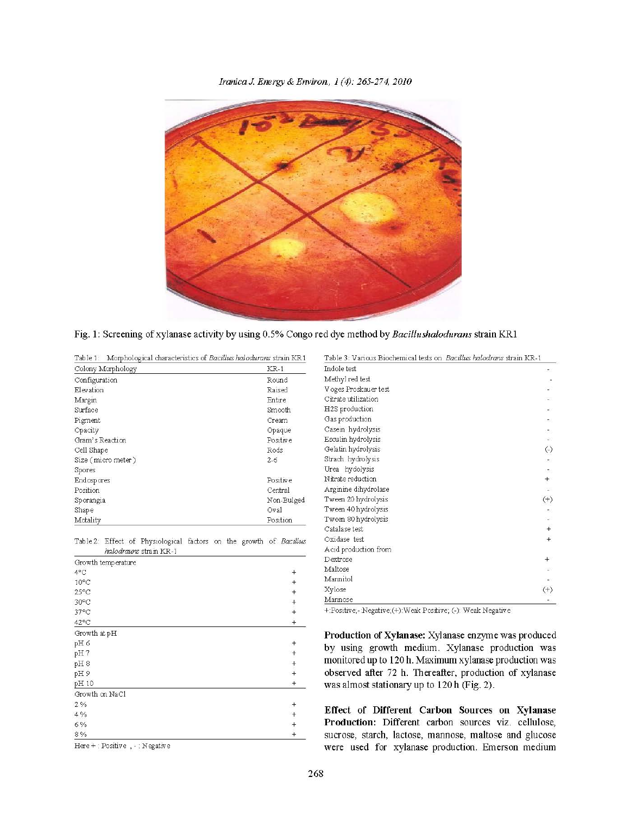Iranica J. Energy & Environ, 1(4): 265-274, 2010



Fig. 1: Screening of xylanase activity by using 0.5% Congo red dye method by Bacillushalodurans strain KR1

|  | Table 1: Morphological characteristics of Bacillus halodurans strain KR1 |
|--|--------------------------------------------------------------------------|
|--|--------------------------------------------------------------------------|

| Colony Morphology   | $KR-1$          |  |  |
|---------------------|-----------------|--|--|
| Configuration       | Round           |  |  |
| Elevation           | Raised          |  |  |
| Margin              | Entire          |  |  |
| Surface             | Smooth          |  |  |
| Pigment             | Cream           |  |  |
| Opacity             | Opaque          |  |  |
| Gram's Reaction     | <b>Positive</b> |  |  |
| Cell Shape          | Rods            |  |  |
| Size (micro meter)  | $2 - 6$         |  |  |
| Spores              |                 |  |  |
| Endospores          | Positive        |  |  |
| Position<br>Central |                 |  |  |
| Sporangia           | Non-Bulged      |  |  |
| Shape               | Oval            |  |  |
| Motality            | Position        |  |  |

Table 2: Effect of Physiological factors on the growth of Bacillus halodrauns strain KR-1

| Growth temperature |                     |
|--------------------|---------------------|
| 4°C                |                     |
| $10^{\circ}$ C     |                     |
| $25^{\circ}$ C     |                     |
| 30°C               | $+$ $+$ $+$ $+$     |
| 37°C               |                     |
| 42°C               |                     |
| Growth at pH       |                     |
| pH6                |                     |
| pH7                |                     |
| pH8                | $+$ $+$ $+$ $+$ $+$ |
| pH9                |                     |
| pH 10              |                     |
| Growth on NaCl     |                     |
| 2%                 |                     |
| 4%                 |                     |
| 6%                 | $+$ $+$ $+$         |
| 8%                 |                     |

| Indole test.         | ÷                    |
|----------------------|----------------------|
| Methyl red test      |                      |
| Voges Proskauer test |                      |
| Citrate utilization  |                      |
| H2S production       |                      |
| Gas production       |                      |
| Casein hydrolysis    |                      |
| Esculin hydrolysis   | $\omega$             |
| Gelatin hydrolysis   | $\left(\cdot\right)$ |
| Strach hydrolysis    | Œ.                   |
| Urea hydolysis       | æ.                   |
| Nitrate reduction    | $\ddagger$           |
| Arginine dihydrolase | œ                    |
| Tween 20 hydrolysis  | $^{(+)}$             |
| Tween 40 hydrolysis  | æ.                   |
| Tween 80 hydrolysis  |                      |
| Catalase test        | $+$                  |
| Oxidase test         | $+$                  |
| Acid production from |                      |
| Dextrose             | $^{+}$               |
| Maltose              |                      |
| Mannitol             |                      |
| Xylose               | $^{(+)}$             |
| Mannose              |                      |

+:Positive;-:Negative;(+):Weak Positive; (-): Weak Negative

Production of Xylanase: Xylanase enzyme was produced by using growth medium. Xylanase production was monitored up to 120 h. Maximum xylanase production was observed after 72 h. Thereafter, production of xylanase was almost stationary up to 120 h (Fig. 2).

Effect of Different Carbon Sources on Xylanase Production: Different carbon sources viz. cellulose, sucrose, starch, lactose, mannose, maltose and glucose were used for xylanase production. Emerson medium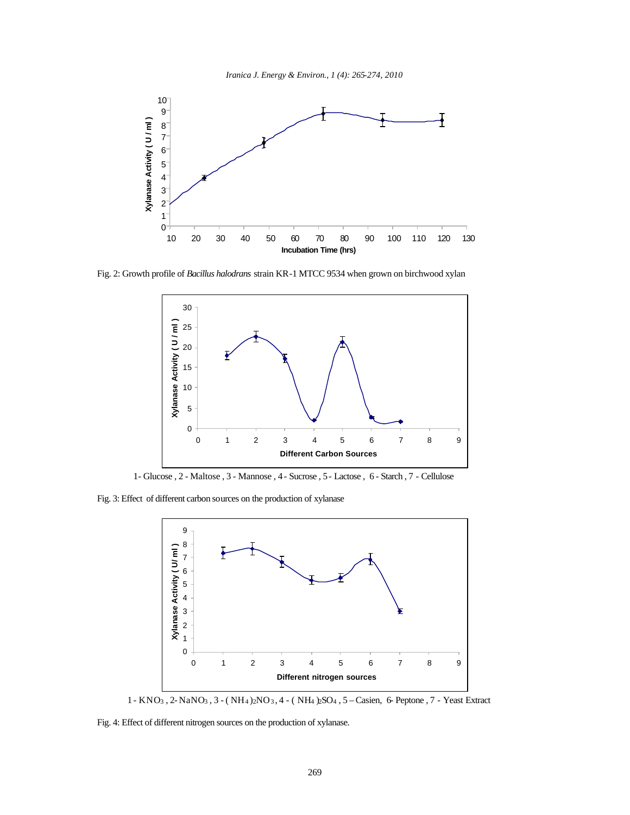



Fig. 2: Growth profile of *Bacillus halodrans* strain KR-1 MTCC 9534 when grown on birchwood xylan



1- Glucose , 2 - Maltose , 3 - Mannose , 4 - Sucrose , 5 - Lactose , 6 - Starch , 7 - Cellulose

Fig. 3: Effect of different carbon sources on the production of xylanase



1 - KNO3 , 2- NaNO3 , 3 - ( NH4 )2NO3 , 4 - ( NH4 )2SO4 , 5 – Casien, 6- Peptone , 7 - Yeast Extract

Fig. 4: Effect of different nitrogen sources on the production of xylanase.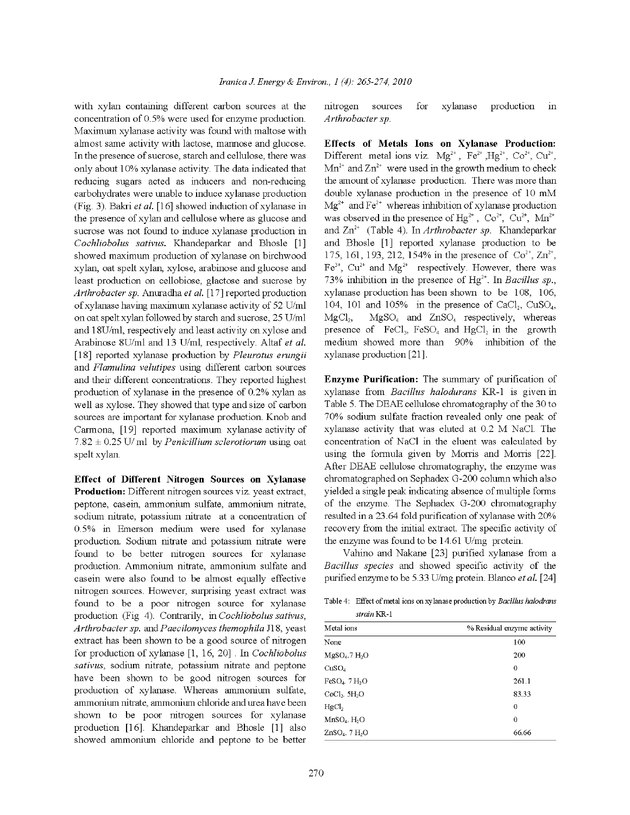with xylan containing different carbon sources at the concentration of 0.5% were used for enzyme production. Maximum xylanase activity was found with maltose with almost same activity with lactose, mannose and glucose. In the presence of sucrose, starch and cellulose, there was only about 10% xylanase activity. The data indicated that reducing sugars acted as inducers and non-reducing carbohydrates were unable to induce xylanase production (Fig. 3). Bakri et al. [16] showed induction of xylanase in the presence of xylan and cellulose where as glucose and sucrose was not found to induce xylanase production in Cochliobolus sativus. Khandeparkar and Bhosle [1] showed maximum production of xylanase on birchwood xylan, oat spelt xylan, xylose, arabinose and glucose and least production on cellobiose, glactose and sucrose by Arthrobacter sp. Anuradha et al. [17] reported production of xylanase having maximum xylanase activity of 52 U/ml on oat spelt xylan followed by starch and sucrose, 25 U/ml and 18U/ml, respectively and least activity on xylose and Arabinose 8U/ml and 13 U/ml, respectively. Altaf et al. [18] reported xylanase production by Pleurotus erungii and Flamulina velutipes using different carbon sources and their different concentrations. They reported highest production of xylanase in the presence of 0.2% xylan as well as xylose. They showed that type and size of carbon sources are important for xylanase production. Knob and Carmona, [19] reported maximum xylanase activity of  $7.82 \pm 0.25$  U/ml by *Penicillium sclerotiorum* using oat spelt xylan.

Effect of Different Nitrogen Sources on Xylanase Production: Different nitrogen sources viz. yeast extract, peptone, casein, ammonium sulfate, ammonium nitrate, sodium nitrate, potassium nitrate at a concentration of 0.5% in Emerson medium were used for xylanase production. Sodium nitrate and potassium nitrate were found to be better nitrogen sources for xylanase production. Ammonium nitrate, ammonium sulfate and casein were also found to be almost equally effective nitrogen sources. However, surprising yeast extract was found to be a poor nitrogen source for xylanase production (Fig. 4). Contrarily, in Cochliobolus sativus, Arthrobacter sp. and Paecilomyces themophila J18, yeast extract has been shown to be a good source of nitrogen for production of xylanase [1, 16, 20]. In Cochliobolus sativus, sodium nitrate, potassium nitrate and peptone have been shown to be good nitrogen sources for production of xylanase. Whereas ammonium sulfate, ammonium nitrate, ammonium chloride and urea have been shown to be poor nitrogen sources for xylanase production [16]. Khandeparkar and Bhosle [1] also showed ammonium chloride and peptone to be better

sources nitrogen for xylanase production  $\overline{\text{in}}$ Arthrobacter sp.

Effects of Metals Ions on Xylanase Production: Different metal ions viz.  $Mg^{2+}$ ,  $Fe^{2+} Hg^{2+}$ ,  $Co^{2+}$ ,  $Cu^{2+}$ ,  $Mn^{2+}$  and  $Zn^{2+}$  were used in the growth medium to check the amount of xylanase production. There was more than double xylanase production in the presence of 10 mM  $Mg^{2+}$  and Fe<sup>2+</sup> whereas inhibition of xylanase production was observed in the presence of  $Hg^{2+}$ ,  $Co^{2+}$ ,  $Cu^{2+}$ ,  $Mn^{2+}$ and  $\text{Zn}^{2+}$  (Table 4). In *Arthrobacter sp.* Khandeparkar and Bhosle [1] reported xylanase production to be 175, 161, 193, 212, 154% in the presence of  $Co^{2+}$ ,  $Zn^{2+}$ ,  $Fe^{3+}$ ,  $Cu^{2+}$  and  $Mg^{2+}$  respectively. However, there was 73% inhibition in the presence of  $Hg^{2+}$ . In *Bacillus sp.*, xylanase production has been shown to be 108, 106, 104, 101 and 105% in the presence of CaCl<sub>2</sub>, CuSO<sub>4</sub>,  $MgSO<sub>4</sub>$  and  $ZnSO<sub>4</sub>$  respectively, whereas  $MgCl<sub>2</sub>$ presence of  $\text{FeCl}_3$ ,  $\text{FeSO}_4$  and HgCl<sub>2</sub> in the growth medium showed more than 90% inhibition of the xylanase production [21].

Enzyme Purification: The summary of purification of xylanase from Bacillus halodurans KR-1 is given in Table 5. The DEAE cellulose chromatography of the 30 to 70% sodium sulfate fraction revealed only one peak of xylanase activity that was eluted at 0.2 M NaCl. The concentration of NaCl in the eluent was calculated by using the formula given by Morris and Morris [22]. After DEAE cellulose chromatography, the enzyme was chromatographed on Sephadex G-200 column which also vielded a single peak indicating absence of multiple forms of the enzyme. The Sephadex G-200 chromatography resulted in a 23.64 fold purification of xylanase with 20% recovery from the initial extract. The specific activity of the enzyme was found to be  $14.61$  U/mg protein.

Vahino and Nakane [23] purified xylanase from a Bacillus species and showed specific activity of the purified enzyme to be 5.33 U/mg protein. Blanco et al. [24]

Table 4: Effect of metal ions on xylanase production by Bacillus halodrans strain KR-1

| Metal ions                   | % Residual enzyme activity |  |  |
|------------------------------|----------------------------|--|--|
| None                         | 100                        |  |  |
| $M$ g $SO_4$ .7 $H_2O$       | 200                        |  |  |
| CuSO <sub>4</sub>            | 0                          |  |  |
| $FeSO4$ . 7 H <sub>2</sub> O | 261.1                      |  |  |
| $CoCl2$ . $5H2O$             | 83.33                      |  |  |
| HgCl <sub>2</sub>            | 0                          |  |  |
| $MnSO4$ . $H2O$              | $\theta$                   |  |  |
| $ZnSO4$ . 7 $H2O$            | 66.66                      |  |  |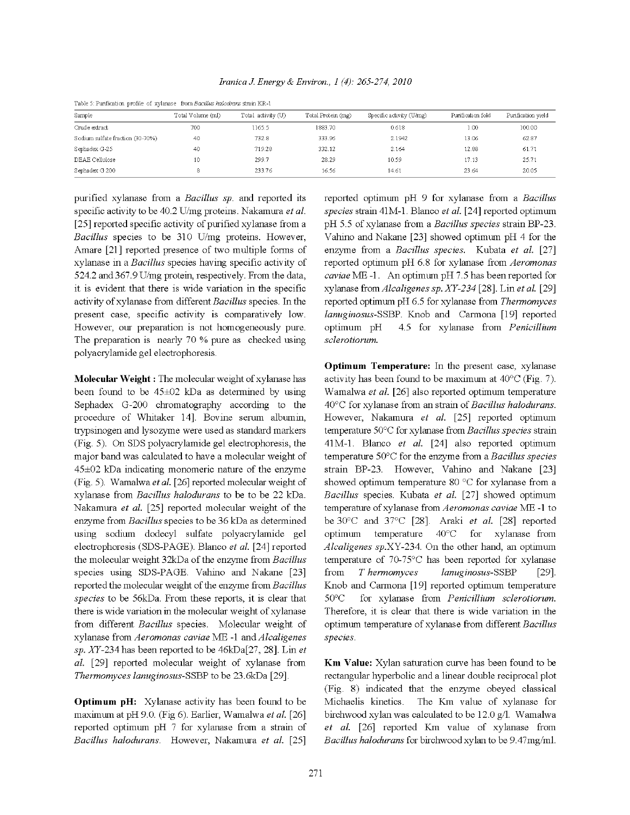| TROIC DIT GELLICALIOII PIOILIC OL AVIALIASCI ILOIII D'ALIMAN MARCARAN SERIII ISICII |                   |                    |                    |                          |                   |                    |  |  |  |
|-------------------------------------------------------------------------------------|-------------------|--------------------|--------------------|--------------------------|-------------------|--------------------|--|--|--|
| Sample                                                                              | Total Volume (ml) | Total activity (U) | Total Protein (mg) | Specific activity (U/mg) | Purification fold | Purification yield |  |  |  |
| Crude extract                                                                       | 700               | 1165.5             | 1883.70            | 0.618                    | 1.00              | 100.00             |  |  |  |
| Sodium sulfate fraction (30-70%)                                                    | 40                | 732.8              | 333.96             | 2.1942                   | 13.06             | 62.87              |  |  |  |
| Sephadex G-25                                                                       | 40                | 719.28             | 332.12             | 2.164                    | 12.88             | 61.71              |  |  |  |
| DEAE Cellulose                                                                      | 10                | 299.7              | 28.29              | 10.59                    | 17.13             | 25.71              |  |  |  |
| Sephadex G 200                                                                      |                   | 233.76             | 16.56              | 14.61                    | 23.64             | 20.05              |  |  |  |
|                                                                                     |                   |                    |                    |                          |                   |                    |  |  |  |

Iranica J. Energy & Environ., 1 (4): 265-274, 2010

Table 5: Durification anofile of variances, from Regiller lealedness strain KD 1

purified xylanase from a Bacillus sp. and reported its specific activity to be 40.2 U/mg proteins. Nakamura et al. [25] reported specific activity of purified xylanase from a Bacillus species to be 310 U/mg proteins. However, Amare [21] reported presence of two multiple forms of xylanase in a Bacillus species having specific activity of 524.2 and 367.9 U/mg protein, respectively. From the data, it is evident that there is wide variation in the specific activity of xylanase from different Bacillus species. In the present case, specific activity is comparatively low. However, our preparation is not homogeneously pure. The preparation is nearly 70 % pure as checked using polyacrylamide gel electrophoresis.

Molecular Weight: The molecular weight of xylanase has been found to be  $45\pm02$  kDa as determined by using Sephadex G-200 chromatography according to the procedure of Whitaker 14]. Bovine serum albumin, trypsinogen and lysozyme were used as standard markers (Fig. 5). On SDS polyacrylamide gel electrophoresis, the major band was calculated to have a molecular weight of 45±02 kDa indicating monomeric nature of the enzyme (Fig. 5). Wamalwa et al. [26] reported molecular weight of xylanase from Bacillus halodurans to be to be 22 kDa. Nakamura et al. [25] reported molecular weight of the enzyme from Bacillus species to be 36 kDa as determined using sodium dodecyl sulfate polyacrylamide gel electrophoresis (SDS-PAGE). Blanco et al. [24] reported the molecular weight 32kDa of the enzyme from Bacillus species using SDS-PAGE. Vahino and Nakane [23] reported the molecular weight of the enzyme from Bacillus species to be 56kDa. From these reports, it is clear that there is wide variation in the molecular weight of xylanase from different Bacillus species. Molecular weight of xylanase from Aeromonas caviae ME -1 and Alcaligenes sp. XY-234 has been reported to be  $46kDa[27, 28]$ . Lin et al. [29] reported molecular weight of xylanase from Thermomyces lanuginosus-SSBP to be 23.6kDa [29].

**Optimum pH:** Xylanase activity has been found to be maximum at pH 9.0. (Fig 6). Earlier, Wamalwa et al. [26] reported optimum pH 7 for xylanase from a strain of Bacillus halodurans. However, Nakamura et al. [25]

reported optimum pH 9 for xylanase from a Bacillus species strain 41M-1. Blanco et al. [24] reported optimum pH 5.5 of xylanase from a Bacillus species strain BP-23. Vahino and Nakane [23] showed optimum pH 4 for the enzyme from a Bacillus species. Kubata et al. [27] reported optimum pH 6.8 for xylanase from Aeromonas caviae ME-1. An optimum pH 7.5 has been reported for xylanase from Alcaligenes sp. XY-234 [28]. Lin et al. [29] reported optimum pH 6.5 for xylanase from Thermomyces lanuginosus-SSBP. Knob and Carmona [19] reported optimum pH 4.5 for xylanase from Penicillium sclerotiorum.

**Optimum Temperature:** In the present case, xylanase activity has been found to be maximum at 40°C (Fig. 7). Wamalwa et al. [26] also reported optimum temperature 40°C for xylanase from an strain of Bacillus halodurans. However, Nakamura et al. [25] reported optimum temperature 50°C for xylanase from Bacillus species strain 41M-1. Blanco et al. [24] also reported optimum temperature  $50^{\circ}$ C for the enzyme from a *Bacillus species* strain BP-23. However, Vahino and Nakane [23] showed optimum temperature 80 °C for xylanase from a Bacillus species. Kubata et al. [27] showed optimum temperature of xylanase from Aeromonas caviae ME -1 to be 30°C and 37°C [28]. Araki et al. [28] reported temperature  $-40^{\circ}$ C for xylanase from optimum Alcaligenes sp.XY-234. On the other hand, an optimum temperature of 70-75°C has been reported for xylanase from T hermomyces lanuginosus-SSBP  $\lceil 29 \rceil$ . Knob and Carmona [19] reported optimum temperature  $50^{\circ}$ C for xylanase from Penicillium sclerotiorum. Therefore, it is clear that there is wide variation in the optimum temperature of xylanase from different Bacillus species.

Km Value: Xylan saturation curve has been found to be rectangular hyperbolic and a linear double reciprocal plot (Fig. 8) indicated that the enzyme obeyed classical Michaelis kinetics. The Km value of xylanase for birchwood xylan was calculated to be 12.0 g/l. Wamalwa et al. [26] reported Km value of xylanase from Bacillus halodurans for birchwood xylan to be 9.47mg/ml.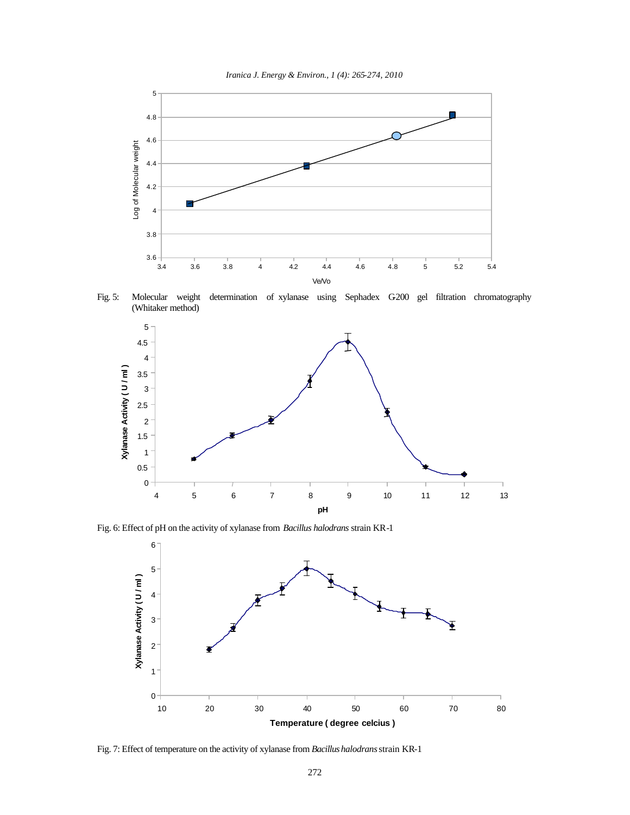



Fig. 5: Molecular weight determination of xylanase using Sephadex G200 gel filtration chromatography (Whitaker method)



Fig. 6: Effect of pH on the activity of xylanase from *Bacillus halodrans* strain KR-1



Fig. 7: Effect of temperature on the activity of xylanase from *Bacillus halodrans* strain KR-1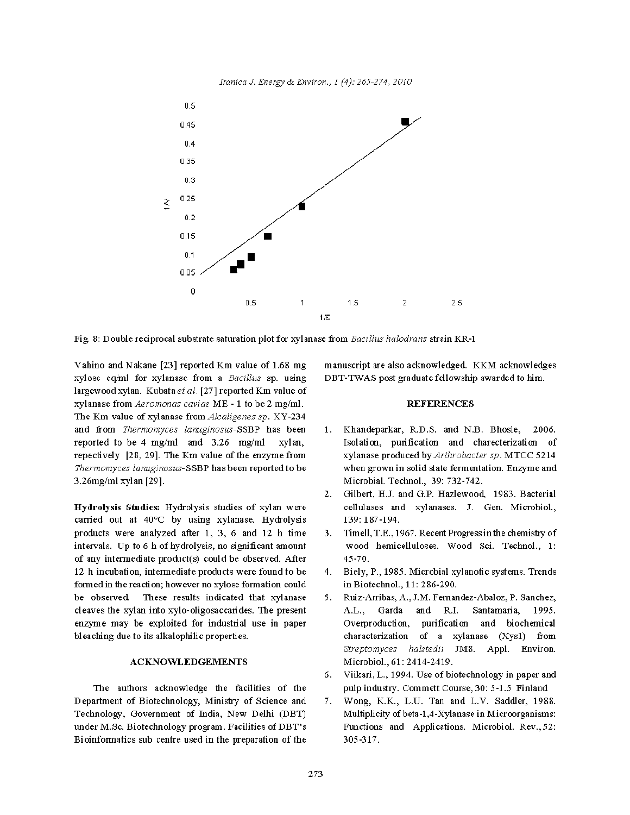

Fig. 8: Double reciprocal substrate saturation plot for xylanase from Bacillus halodrans strain KR-1

Vahino and Nakane [23] reported Km value of 1.68 mg xylose eq/ml for xylanase from a Bacillus sp. using largewood xylan. Kubata et al. [27] reported Km value of xylanase from Aeromonas caviae ME - 1 to be 2 mg/ml. The Km value of xylanase from Alcaligenes sp. XY-234 and from Thermomyces lanuginosus-SSBP has been reported to be 4 mg/ml and 3.26 mg/ml xylan, repectively [28, 29]. The Km value of the enzyme from Thermomyces lanuginosus-SSBP has been reported to be 3.26mg/ml xylan [29].

Hydrolysis Studies: Hydrolysis studies of xylan were carried out at 40°C by using xylanase. Hydrolysis products were analyzed after 1, 3, 6 and 12 h time intervals. Up to 6 h of hydrolysis, no significant amount of any intermediate product(s) could be observed. After 12 h incubation, intermediate products were found to be formed in the reaction; however no xylose formation could be observed. These results indicated that xylanase cleaves the xylan into xylo-oligosaccarides. The present enzyme may be exploited for industrial use in paper bleaching due to its alkalophilic properties.

### **ACKNOWLEDGEMENTS**

The authors acknowledge the facilities of the Department of Biotechnology, Ministry of Science and Technology, Government of India, New Delhi (DBT) under M.Sc. Biotechnology program. Facilities of DBT's Bioinformatics sub centre used in the preparation of the

manuscript are also acknowledged. KKM acknowledges DBT-TWAS post graduate fellowship awarded to him.

#### **REFERENCES**

- 1. Khandeparkar, R.D.S. and N.B. Bhosle, 2006. Isolation, purification and charecterization of xylanase produced by Arthrobacter sp. MTCC 5214 when grown in solid state fermentation. Enzyme and Microbial. Technol., 39: 732-742.
- 2. Gilbert, H.J. and G.P. Hazlewood, 1983. Bacterial cellulases and xylanases. J. Gen. Microbiol., 139: 187-194.
- Timell, T.E., 1967. Recent Progress in the chemistry of 3. wood hemicelluloses. Wood Sci. Technol., 1:  $45 - 70.$
- 4. Biely, P., 1985. Microbial xylanotic systems. Trends in Biotechnol., 11: 286-290.
- 5. Ruiz-Arribas, A., J.M. Fernandez-Abaloz, P. Sanchez, A.L., Garda and  $R.I.$ Santamaria, 1995. Overproduction, purification and biochemical characterization of a xylanase (Xys1) from Streptomyces halstedii JM8. Appl. Environ. Microbiol., 61: 2414-2419.
- 6. Viikari, L., 1994. Use of biotechnology in paper and pulp industry. Commett Course, 30: 5-1.5 Finland
- Wong, K.K., L.U. Tan and L.V. Saddler, 1988. 7. Multiplicity of beta-1,4-Xylanase in Microorganisms: Functions and Applications. Microbiol. Rev., 52: 305-317.